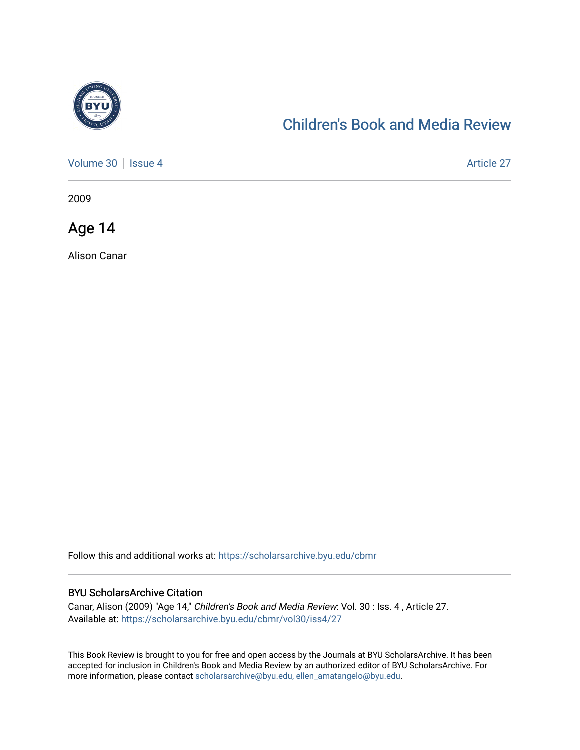

## [Children's Book and Media Review](https://scholarsarchive.byu.edu/cbmr)

[Volume 30](https://scholarsarchive.byu.edu/cbmr/vol30) | [Issue 4](https://scholarsarchive.byu.edu/cbmr/vol30/iss4) Article 27

2009

Age 14

Alison Canar

Follow this and additional works at: [https://scholarsarchive.byu.edu/cbmr](https://scholarsarchive.byu.edu/cbmr?utm_source=scholarsarchive.byu.edu%2Fcbmr%2Fvol30%2Fiss4%2F27&utm_medium=PDF&utm_campaign=PDFCoverPages) 

## BYU ScholarsArchive Citation

Canar, Alison (2009) "Age 14," Children's Book and Media Review: Vol. 30 : Iss. 4 , Article 27. Available at: [https://scholarsarchive.byu.edu/cbmr/vol30/iss4/27](https://scholarsarchive.byu.edu/cbmr/vol30/iss4/27?utm_source=scholarsarchive.byu.edu%2Fcbmr%2Fvol30%2Fiss4%2F27&utm_medium=PDF&utm_campaign=PDFCoverPages)

This Book Review is brought to you for free and open access by the Journals at BYU ScholarsArchive. It has been accepted for inclusion in Children's Book and Media Review by an authorized editor of BYU ScholarsArchive. For more information, please contact [scholarsarchive@byu.edu, ellen\\_amatangelo@byu.edu.](mailto:scholarsarchive@byu.edu,%20ellen_amatangelo@byu.edu)